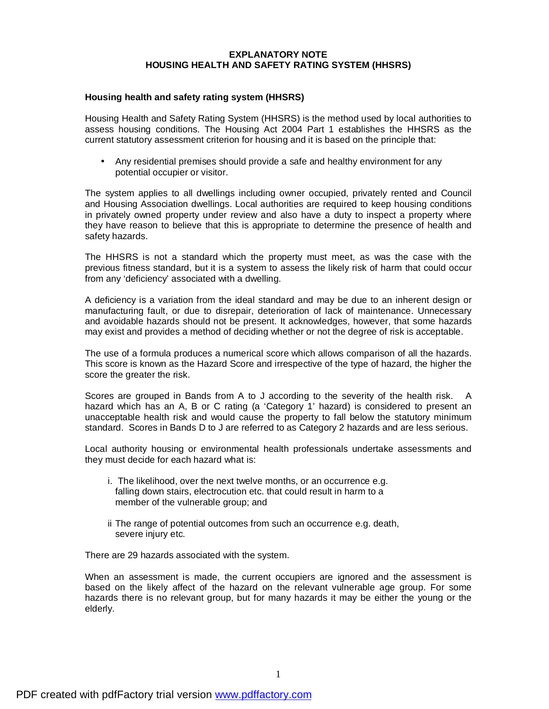## **EXPLANATORY NOTE HOUSING HEALTH AND SAFETY RATING SYSTEM (HHSRS)**

## **Housing health and safety rating system (HHSRS)**

Housing Health and Safety Rating System (HHSRS) is the method used by local authorities to assess housing conditions. The Housing Act 2004 Part 1 establishes the HHSRS as the current statutory assessment criterion for housing and it is based on the principle that:

• Any residential premises should provide a safe and healthy environment for any potential occupier or visitor.

The system applies to all dwellings including owner occupied, privately rented and Council and Housing Association dwellings. Local authorities are required to keep housing conditions in privately owned property under review and also have a duty to inspect a property where they have reason to believe that this is appropriate to determine the presence of health and safety hazards.

The HHSRS is not a standard which the property must meet, as was the case with the previous fitness standard, but it is a system to assess the likely risk of harm that could occur from any 'deficiency' associated with a dwelling.

A deficiency is a variation from the ideal standard and may be due to an inherent design or manufacturing fault, or due to disrepair, deterioration of lack of maintenance. Unnecessary and avoidable hazards should not be present. It acknowledges, however, that some hazards may exist and provides a method of deciding whether or not the degree of risk is acceptable.

The use of a formula produces a numerical score which allows comparison of all the hazards. This score is known as the Hazard Score and irrespective of the type of hazard, the higher the score the greater the risk.

Scores are grouped in Bands from A to J according to the severity of the health risk. A hazard which has an A, B or C rating (a 'Category 1' hazard) is considered to present an unacceptable health risk and would cause the property to fall below the statutory minimum standard. Scores in Bands D to J are referred to as Category 2 hazards and are less serious.

Local authority housing or environmental health professionals undertake assessments and they must decide for each hazard what is:

- i. The likelihood, over the next twelve months, or an occurrence e.g. falling down stairs, electrocution etc. that could result in harm to a member of the vulnerable group; and
- ii The range of potential outcomes from such an occurrence e.g. death, severe injury etc.

There are 29 hazards associated with the system.

When an assessment is made, the current occupiers are ignored and the assessment is based on the likely affect of the hazard on the relevant vulnerable age group. For some hazards there is no relevant group, but for many hazards it may be either the young or the elderly.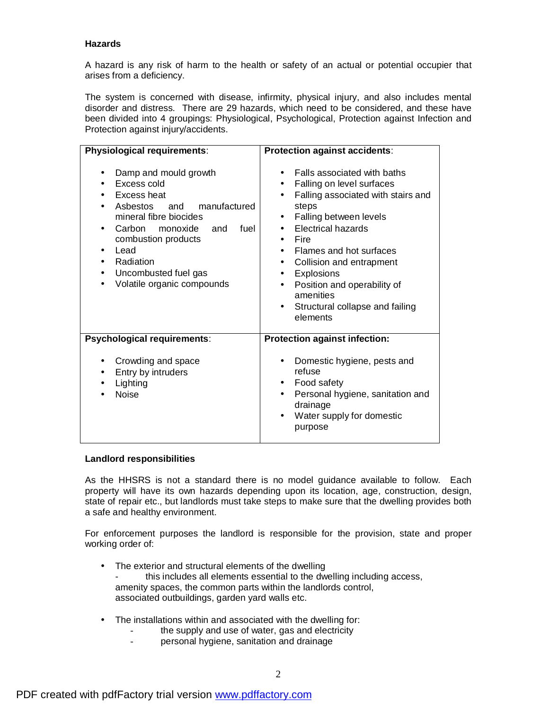## **Hazards**

A hazard is any risk of harm to the health or safety of an actual or potential occupier that arises from a deficiency.

The system is concerned with disease, infirmity, physical injury, and also includes mental disorder and distress. There are 29 hazards, which need to be considered, and these have been divided into 4 groupings: Physiological, Psychological, Protection against Infection and Protection against injury/accidents.

| Physiological requirements:                                                                                                                                                                                                                                           | Protection against accidents:                                                                                                                                                                                                                                                                                                                                                                                                                                           |
|-----------------------------------------------------------------------------------------------------------------------------------------------------------------------------------------------------------------------------------------------------------------------|-------------------------------------------------------------------------------------------------------------------------------------------------------------------------------------------------------------------------------------------------------------------------------------------------------------------------------------------------------------------------------------------------------------------------------------------------------------------------|
| Damp and mould growth<br>$\bullet$<br>Excess cold<br>Excess heat<br>Asbestos and manufactured<br>mineral fibre biocides<br>fuel<br>Carbon monoxide and<br>combustion products<br>Lead<br>$\bullet$<br>Radiation<br>Uncombusted fuel gas<br>Volatile organic compounds | Falls associated with baths<br>$\bullet$<br>Falling on level surfaces<br>$\bullet$<br>Falling associated with stairs and<br>$\bullet$<br>steps<br>Falling between levels<br>٠<br><b>Electrical hazards</b><br>Fire<br>$\bullet$<br>Flames and hot surfaces<br>$\bullet$<br>Collision and entrapment<br>$\bullet$<br><b>Explosions</b><br>$\bullet$<br>Position and operability of<br>$\bullet$<br>amenities<br>Structural collapse and failing<br>$\bullet$<br>elements |
| Psychological requirements:                                                                                                                                                                                                                                           | <b>Protection against infection:</b>                                                                                                                                                                                                                                                                                                                                                                                                                                    |
| Crowding and space<br>Entry by intruders<br>$\bullet$<br>Lighting<br><b>Noise</b>                                                                                                                                                                                     | Domestic hygiene, pests and<br>refuse<br>Food safety<br>$\bullet$<br>Personal hygiene, sanitation and<br>$\bullet$<br>drainage<br>Water supply for domestic<br>$\bullet$<br>purpose                                                                                                                                                                                                                                                                                     |

## **Landlord responsibilities**

As the HHSRS is not a standard there is no model guidance available to follow. Each property will have its own hazards depending upon its location, age, construction, design, state of repair etc., but landlords must take steps to make sure that the dwelling provides both a safe and healthy environment.

For enforcement purposes the landlord is responsible for the provision, state and proper working order of:

- The exterior and structural elements of the dwelling this includes all elements essential to the dwelling including access, amenity spaces, the common parts within the landlords control, associated outbuildings, garden yard walls etc.
- The installations within and associated with the dwelling for:
	- the supply and use of water, gas and electricity
		- personal hygiene, sanitation and drainage